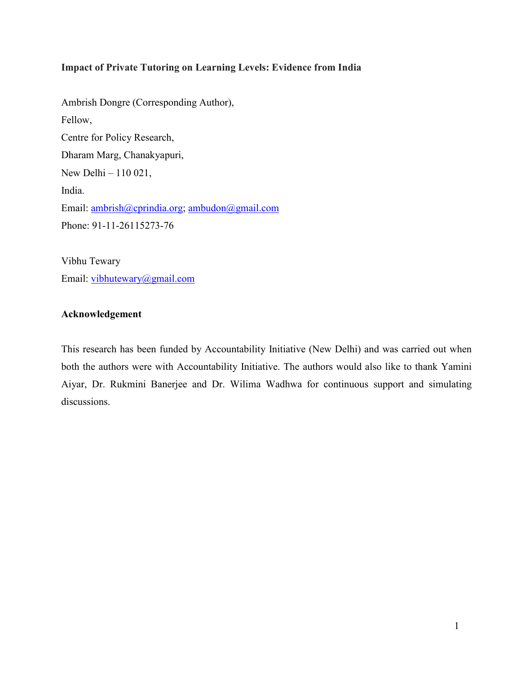## **Impact of Private Tutoring on Learning Levels: Evidence from India**

Ambrish Dongre (Corresponding Author), Fellow, Centre for Policy Research, Dharam Marg, Chanakyapuri, New Delhi – 110 021, India. Email: ambrish@cprindia.org; ambudon@gmail.com Phone: 91-11-26115273-76

Vibhu Tewary Email: vibhutewary@gmail.com

## **Acknowledgement**

This research has been funded by Accountability Initiative (New Delhi) and was carried out when both the authors were with Accountability Initiative. The authors would also like to thank Yamini Aiyar, Dr. Rukmini Banerjee and Dr. Wilima Wadhwa for continuous support and simulating discussions.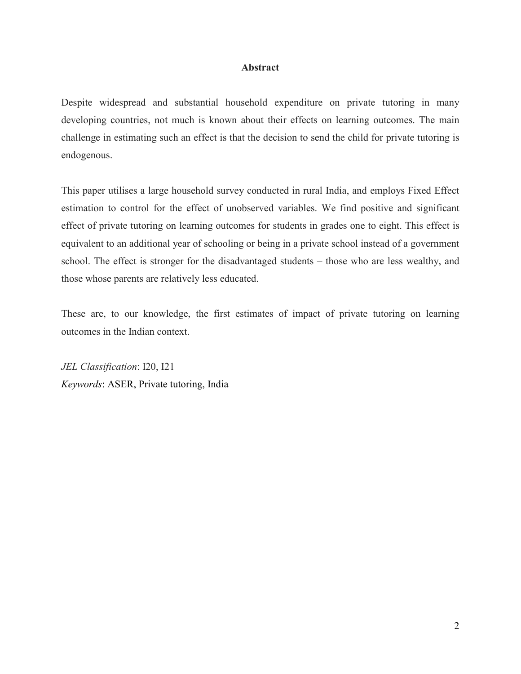## **Abstract**

Despite widespread and substantial household expenditure on private tutoring in many developing countries, not much is known about their effects on learning outcomes. The main challenge in estimating such an effect is that the decision to send the child for private tutoring is endogenous.

This paper utilises a large household survey conducted in rural India, and employs Fixed Effect estimation to control for the effect of unobserved variables. We find positive and significant effect of private tutoring on learning outcomes for students in grades one to eight. This effect is equivalent to an additional year of schooling or being in a private school instead of a government school. The effect is stronger for the disadvantaged students – those who are less wealthy, and those whose parents are relatively less educated.

These are, to our knowledge, the first estimates of impact of private tutoring on learning outcomes in the Indian context.

*JEL Classification*: I20, I21 *Keywords*: ASER, Private tutoring, India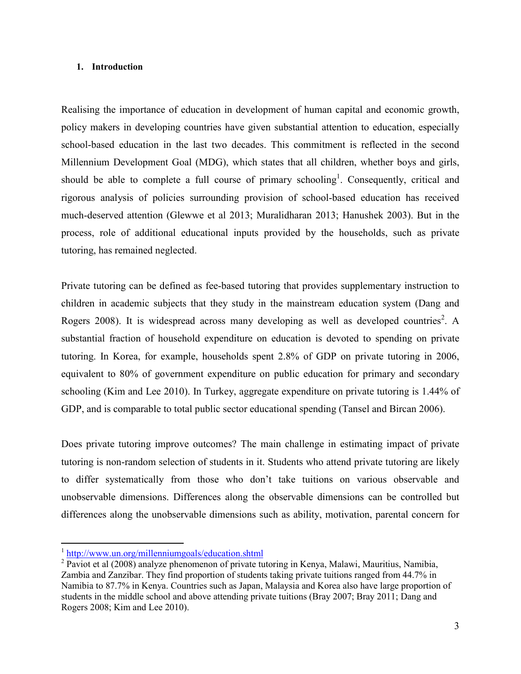#### **1. Introduction**

Realising the importance of education in development of human capital and economic growth, policy makers in developing countries have given substantial attention to education, especially school-based education in the last two decades. This commitment is reflected in the second Millennium Development Goal (MDG), which states that all children, whether boys and girls, should be able to complete a full course of primary schooling<sup>1</sup>. Consequently, critical and rigorous analysis of policies surrounding provision of school-based education has received much-deserved attention (Glewwe et al 2013; Muralidharan 2013; Hanushek 2003). But in the process, role of additional educational inputs provided by the households, such as private tutoring, has remained neglected.

Private tutoring can be defined as fee-based tutoring that provides supplementary instruction to children in academic subjects that they study in the mainstream education system (Dang and Rogers 2008). It is widespread across many developing as well as developed countries<sup>2</sup>. A substantial fraction of household expenditure on education is devoted to spending on private tutoring. In Korea, for example, households spent 2.8% of GDP on private tutoring in 2006, equivalent to 80% of government expenditure on public education for primary and secondary schooling (Kim and Lee 2010). In Turkey, aggregate expenditure on private tutoring is 1.44% of GDP, and is comparable to total public sector educational spending (Tansel and Bircan 2006).

Does private tutoring improve outcomes? The main challenge in estimating impact of private tutoring is non-random selection of students in it. Students who attend private tutoring are likely to differ systematically from those who don't take tuitions on various observable and unobservable dimensions. Differences along the observable dimensions can be controlled but differences along the unobservable dimensions such as ability, motivation, parental concern for

<sup>&</sup>lt;sup>1</sup> http://www.un.org/millenniumgoals/education.shtml

<sup>&</sup>lt;sup>2</sup> Paviot et al (2008) analyze phenomenon of private tutoring in Kenya, Malawi, Mauritius, Namibia, Zambia and Zanzibar. They find proportion of students taking private tuitions ranged from 44.7% in Namibia to 87.7% in Kenya. Countries such as Japan, Malaysia and Korea also have large proportion of students in the middle school and above attending private tuitions (Bray 2007; Bray 2011; Dang and Rogers 2008; Kim and Lee 2010).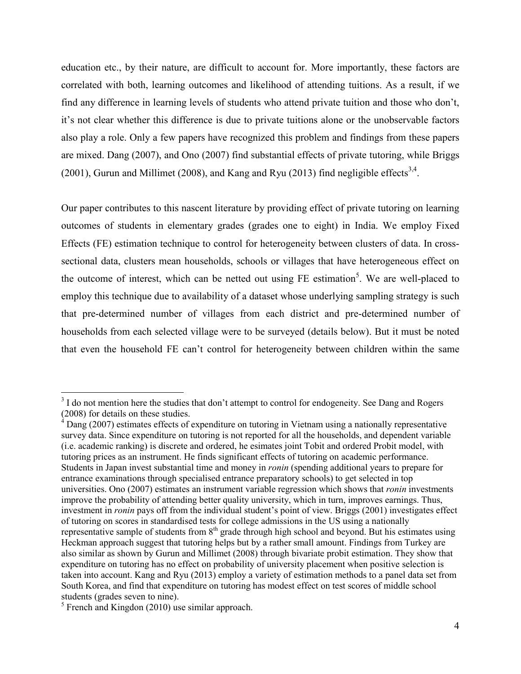education etc., by their nature, are difficult to account for. More importantly, these factors are correlated with both, learning outcomes and likelihood of attending tuitions. As a result, if we find any difference in learning levels of students who attend private tuition and those who don't, it's not clear whether this difference is due to private tuitions alone or the unobservable factors also play a role. Only a few papers have recognized this problem and findings from these papers are mixed. Dang (2007), and Ono (2007) find substantial effects of private tutoring, while Briggs (2001), Gurun and Millimet (2008), and Kang and Ryu (2013) find negligible effects<sup>3,4</sup>.

Our paper contributes to this nascent literature by providing effect of private tutoring on learning outcomes of students in elementary grades (grades one to eight) in India. We employ Fixed Effects (FE) estimation technique to control for heterogeneity between clusters of data. In crosssectional data, clusters mean households, schools or villages that have heterogeneous effect on the outcome of interest, which can be netted out using FE estimation<sup>5</sup>. We are well-placed to employ this technique due to availability of a dataset whose underlying sampling strategy is such that pre-determined number of villages from each district and pre-determined number of households from each selected village were to be surveyed (details below). But it must be noted that even the household FE can't control for heterogeneity between children within the same

-

<sup>&</sup>lt;sup>3</sup> I do not mention here the studies that don't attempt to control for endogeneity. See Dang and Rogers (2008) for details on these studies.

 $4$  Dang (2007) estimates effects of expenditure on tutoring in Vietnam using a nationally representative survey data. Since expenditure on tutoring is not reported for all the households, and dependent variable (i.e. academic ranking) is discrete and ordered, he esimates joint Tobit and ordered Probit model, with tutoring prices as an instrument. He finds significant effects of tutoring on academic performance. Students in Japan invest substantial time and money in *ronin* (spending additional years to prepare for entrance examinations through specialised entrance preparatory schools) to get selected in top universities. Ono (2007) estimates an instrument variable regression which shows that *ronin* investments improve the probability of attending better quality university, which in turn, improves earnings. Thus, investment in *ronin* pays off from the individual student's point of view. Briggs (2001) investigates effect of tutoring on scores in standardised tests for college admissions in the US using a nationally representative sample of students from  $8<sup>th</sup>$  grade through high school and beyond. But his estimates using Heckman approach suggest that tutoring helps but by a rather small amount. Findings from Turkey are also similar as shown by Gurun and Millimet (2008) through bivariate probit estimation. They show that expenditure on tutoring has no effect on probability of university placement when positive selection is taken into account. Kang and Ryu (2013) employ a variety of estimation methods to a panel data set from South Korea, and find that expenditure on tutoring has modest effect on test scores of middle school students (grades seven to nine).

<sup>&</sup>lt;sup>5</sup> French and Kingdon (2010) use similar approach.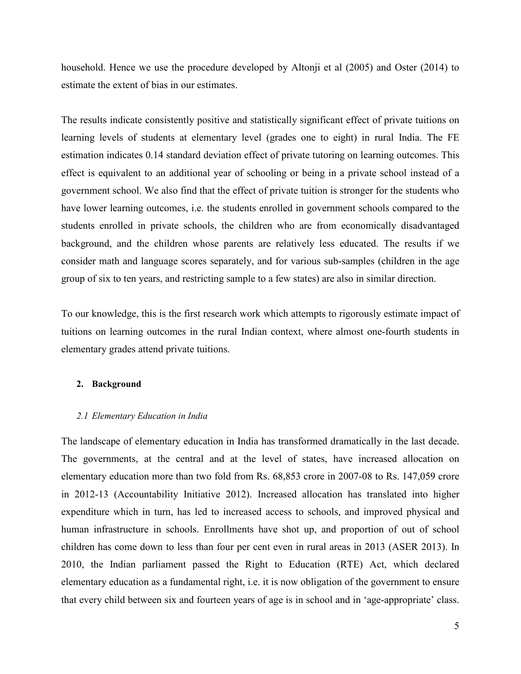household. Hence we use the procedure developed by Altonji et al (2005) and Oster (2014) to estimate the extent of bias in our estimates.

The results indicate consistently positive and statistically significant effect of private tuitions on learning levels of students at elementary level (grades one to eight) in rural India. The FE estimation indicates 0.14 standard deviation effect of private tutoring on learning outcomes. This effect is equivalent to an additional year of schooling or being in a private school instead of a government school. We also find that the effect of private tuition is stronger for the students who have lower learning outcomes, i.e. the students enrolled in government schools compared to the students enrolled in private schools, the children who are from economically disadvantaged background, and the children whose parents are relatively less educated. The results if we consider math and language scores separately, and for various sub-samples (children in the age group of six to ten years, and restricting sample to a few states) are also in similar direction.

To our knowledge, this is the first research work which attempts to rigorously estimate impact of tuitions on learning outcomes in the rural Indian context, where almost one-fourth students in elementary grades attend private tuitions.

## **2. Background**

### *2.1 Elementary Education in India*

The landscape of elementary education in India has transformed dramatically in the last decade. The governments, at the central and at the level of states, have increased allocation on elementary education more than two fold from Rs. 68,853 crore in 2007-08 to Rs. 147,059 crore in 2012-13 (Accountability Initiative 2012). Increased allocation has translated into higher expenditure which in turn, has led to increased access to schools, and improved physical and human infrastructure in schools. Enrollments have shot up, and proportion of out of school children has come down to less than four per cent even in rural areas in 2013 (ASER 2013). In 2010, the Indian parliament passed the Right to Education (RTE) Act, which declared elementary education as a fundamental right, i.e. it is now obligation of the government to ensure that every child between six and fourteen years of age is in school and in 'age-appropriate' class.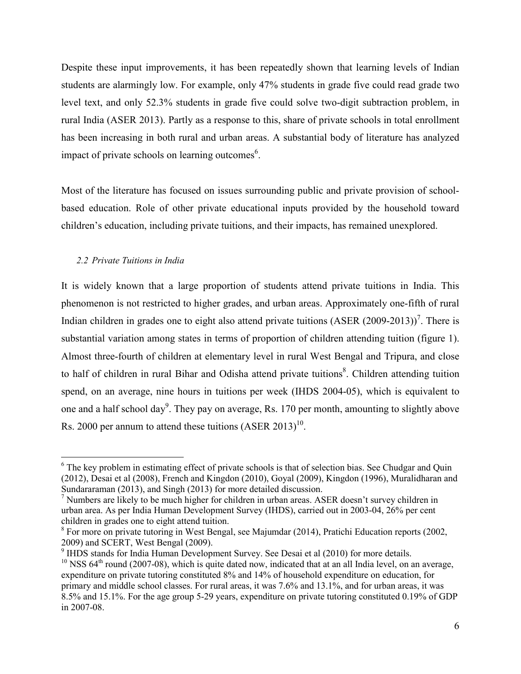Despite these input improvements, it has been repeatedly shown that learning levels of Indian students are alarmingly low. For example, only 47% students in grade five could read grade two level text, and only 52.3% students in grade five could solve two-digit subtraction problem, in rural India (ASER 2013). Partly as a response to this, share of private schools in total enrollment has been increasing in both rural and urban areas. A substantial body of literature has analyzed impact of private schools on learning outcomes<sup>6</sup>.

Most of the literature has focused on issues surrounding public and private provision of schoolbased education. Role of other private educational inputs provided by the household toward children's education, including private tuitions, and their impacts, has remained unexplored.

### *2.2 Private Tuitions in India*

-

It is widely known that a large proportion of students attend private tuitions in India. This phenomenon is not restricted to higher grades, and urban areas. Approximately one-fifth of rural Indian children in grades one to eight also attend private tuitions  $(ASER (2009-2013))^7$ . There is substantial variation among states in terms of proportion of children attending tuition (figure 1). Almost three-fourth of children at elementary level in rural West Bengal and Tripura, and close to half of children in rural Bihar and Odisha attend private tuitions<sup>8</sup>. Children attending tuition spend, on an average, nine hours in tuitions per week (IHDS 2004-05), which is equivalent to one and a half school day<sup>9</sup>. They pay on average, Rs. 170 per month, amounting to slightly above Rs. 2000 per annum to attend these tuitions  $(ASER 2013)^{10}$ .

<sup>&</sup>lt;sup>6</sup> The key problem in estimating effect of private schools is that of selection bias. See Chudgar and Quin (2012), Desai et al (2008), French and Kingdon (2010), Goyal (2009), Kingdon (1996), Muralidharan and Sundararaman (2013), and Singh (2013) for more detailed discussion.

 $<sup>7</sup>$  Numbers are likely to be much higher for children in urban areas. ASER doesn't survey children in</sup> urban area. As per India Human Development Survey (IHDS), carried out in 2003-04, 26% per cent children in grades one to eight attend tuition.

<sup>&</sup>lt;sup>8</sup> For more on private tutoring in West Bengal, see Majumdar (2014), Pratichi Education reports (2002, 2009) and SCERT, West Bengal (2009).

<sup>&</sup>lt;sup>9</sup> IHDS stands for India Human Development Survey. See Desai et al (2010) for more details.

 $10$  NSS 64<sup>th</sup> round (2007-08), which is quite dated now, indicated that at an all India level, on an average, expenditure on private tutoring constituted 8% and 14% of household expenditure on education, for primary and middle school classes. For rural areas, it was 7.6% and 13.1%, and for urban areas, it was 8.5% and 15.1%. For the age group 5-29 years, expenditure on private tutoring constituted 0.19% of GDP in 2007-08.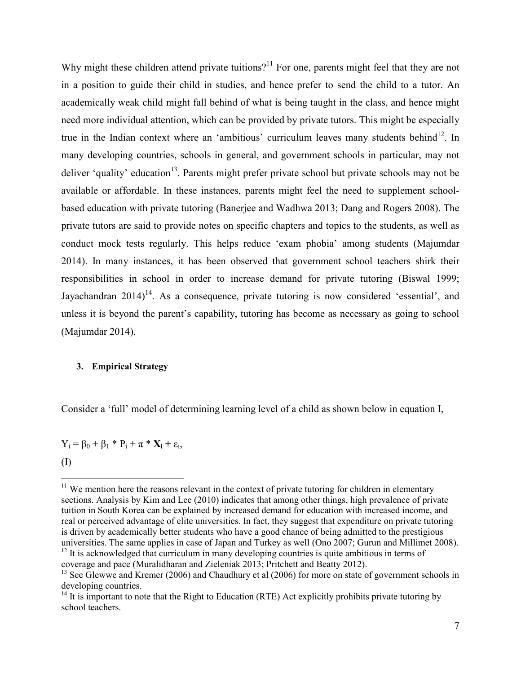Why might these children attend private tuitions?<sup>11</sup> For one, parents might feel that they are not in a position to guide their child in studies, and hence prefer to send the child to a tutor. An academically weak child might fall behind of what is being taught in the class, and hence might need more individual attention, which can be provided by private tutors. This might be especially true in the Indian context where an 'ambitious' curriculum leaves many students behind<sup>12</sup>. In many developing countries, schools in general, and government schools in particular, may not deliver 'quality' education<sup>13</sup>. Parents might prefer private school but private schools may not be available or affordable. In these instances, parents might feel the need to supplement schoolbased education with private tutoring (Banerjee and Wadhwa 2013; Dang and Rogers 2008). The private tutors are said to provide notes on specific chapters and topics to the students, as well as conduct mock tests regularly. This helps reduce 'exam phobia' among students (Majumdar 2014). In many instances, it has been observed that government school teachers shirk their responsibilities in school in order to increase demand for private tutoring (Biswal 1999; Jayachandran  $2014$ <sup> $14$ </sup>. As a consequence, private tutoring is now considered 'essential', and unless it is beyond the parent's capability, tutoring has become as necessary as going to school (Majumdar 2014).

## **3. Empirical Strategy**

Consider a 'full' model of determining learning level of a child as shown below in equation I,

 $Y_i = \beta_0 + \beta_1 * P_i + \pi * X_i + \varepsilon_i,$ (I)

 $\overline{a}$ 

 $11$  We mention here the reasons relevant in the context of private tutoring for children in elementary sections. Analysis by Kim and Lee (2010) indicates that among other things, high prevalence of private tuition in South Korea can be explained by increased demand for education with increased income, and real or perceived advantage of elite universities. In fact, they suggest that expenditure on private tutoring is driven by academically better students who have a good chance of being admitted to the prestigious universities. The same applies in case of Japan and Turkey as well (Ono 2007; Gurun and Millimet 2008).

<sup>&</sup>lt;sup>12</sup> It is acknowledged that curriculum in many developing countries is quite ambitious in terms of coverage and pace (Muralidharan and Zieleniak 2013; Pritchett and Beatty 2012).

 $13$  See Glewwe and Kremer (2006) and Chaudhury et al (2006) for more on state of government schools in developing countries.

 $14$  It is important to note that the Right to Education (RTE) Act explicitly prohibits private tutoring by school teachers.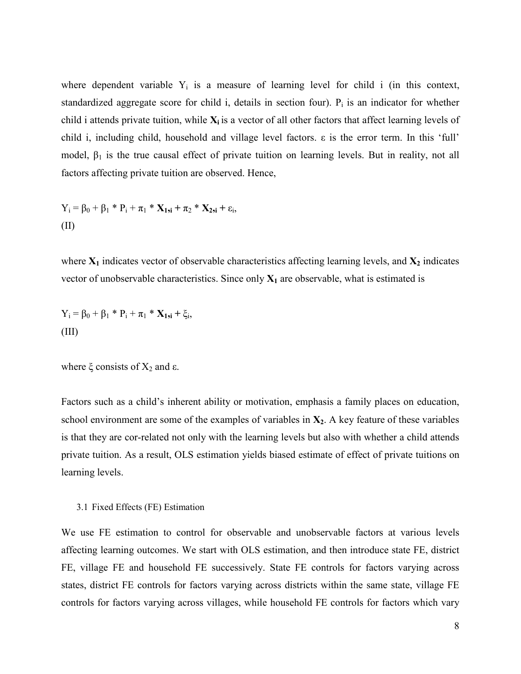where dependent variable  $Y_i$  is a measure of learning level for child i (in this context, standardized aggregate score for child i, details in section four).  $P_i$  is an indicator for whether child i attends private tuition, while **Xi** is a vector of all other factors that affect learning levels of child i, including child, household and village level factors. ε is the error term. In this 'full' model,  $\beta_1$  is the true causal effect of private tuition on learning levels. But in reality, not all factors affecting private tuition are observed. Hence,

$$
Y_i = \beta_0 + \beta_1 * P_i + \pi_1 * X_{1\textbf{,}i} + \pi_2 * X_{2\textbf{,}i} + \varepsilon_i,
$$
  
(II)

where **X<sup>1</sup>** indicates vector of observable characteristics affecting learning levels, and **X2** indicates vector of unobservable characteristics. Since only **X<sup>1</sup>** are observable, what is estimated is

 $Y_i = \beta_0 + \beta_1 * P_i + \pi_1 * X_1$ ,**i** + ξ<sub>i</sub>, (III)

where  $ξ$  consists of  $X_2$  and  $ε$ .

Factors such as a child's inherent ability or motivation, emphasis a family places on education, school environment are some of the examples of variables in **X2**. A key feature of these variables is that they are cor-related not only with the learning levels but also with whether a child attends private tuition. As a result, OLS estimation yields biased estimate of effect of private tuitions on learning levels.

3.1 Fixed Effects (FE) Estimation

We use FE estimation to control for observable and unobservable factors at various levels affecting learning outcomes. We start with OLS estimation, and then introduce state FE, district FE, village FE and household FE successively. State FE controls for factors varying across states, district FE controls for factors varying across districts within the same state, village FE controls for factors varying across villages, while household FE controls for factors which vary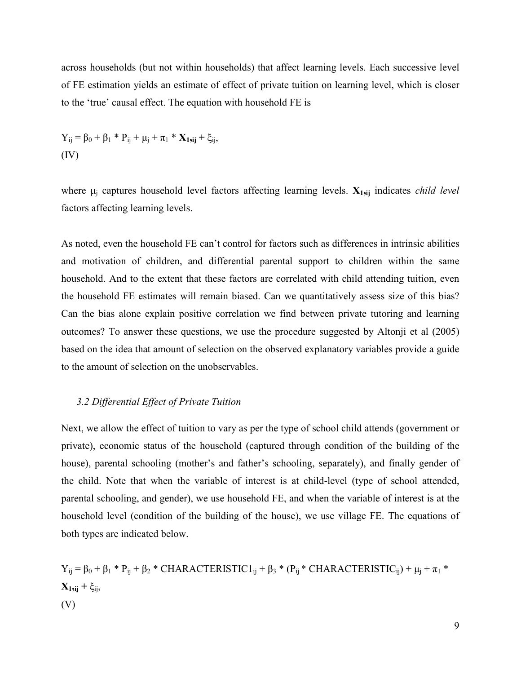across households (but not within households) that affect learning levels. Each successive level of FE estimation yields an estimate of effect of private tuition on learning level, which is closer to the 'true' causal effect. The equation with household FE is

 $Y_{ij} = \beta_0 + \beta_1 * P_{ij} + \mu_j + \pi_1 * X_{1 \text{,} ij} + \xi_{ij},$ (IV)

where µ<sup>j</sup> captures household level factors affecting learning levels. **X1,ij** indicates *child level* factors affecting learning levels.

As noted, even the household FE can't control for factors such as differences in intrinsic abilities and motivation of children, and differential parental support to children within the same household. And to the extent that these factors are correlated with child attending tuition, even the household FE estimates will remain biased. Can we quantitatively assess size of this bias? Can the bias alone explain positive correlation we find between private tutoring and learning outcomes? To answer these questions, we use the procedure suggested by Altonji et al (2005) based on the idea that amount of selection on the observed explanatory variables provide a guide to the amount of selection on the unobservables.

## *3.2 Differential Effect of Private Tuition*

Next, we allow the effect of tuition to vary as per the type of school child attends (government or private), economic status of the household (captured through condition of the building of the house), parental schooling (mother's and father's schooling, separately), and finally gender of the child. Note that when the variable of interest is at child-level (type of school attended, parental schooling, and gender), we use household FE, and when the variable of interest is at the household level (condition of the building of the house), we use village FE. The equations of both types are indicated below.

$$
Y_{ij} = \beta_0 + \beta_1 * P_{ij} + \beta_2 * \text{CHARACTERISTIC1}_{ij} + \beta_3 * (P_{ij} * \text{CHARACTERISTIC}_{ij}) + \mu_j + \pi_1 * X_{1\text{,}ij} + \xi_{ij},
$$
\n
$$
(V)
$$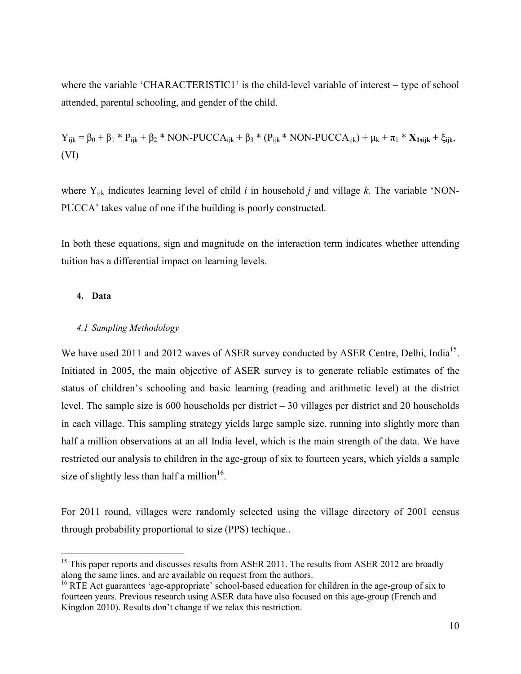where the variable 'CHARACTERISTIC1' is the child-level variable of interest – type of school attended, parental schooling, and gender of the child.

 $Y_{ijk} = β_0 + β_1 * P_{ijk} + β_2 * NON-PUCCA_{ijk} + β_3 * (P_{ijk} * NON-PUCCA_{ijk}) + μ_k + π_1 * X_{1,ijk} + ξ_{ijk}$ (VI)

where Yijk indicates learning level of child *i* in household *j* and village *k*. The variable 'NON-PUCCA' takes value of one if the building is poorly constructed.

In both these equations, sign and magnitude on the interaction term indicates whether attending tuition has a differential impact on learning levels.

## **4. Data**

<u>.</u>

### *4.1 Sampling Methodology*

We have used 2011 and 2012 waves of ASER survey conducted by ASER Centre, Delhi, India<sup>15</sup>. Initiated in 2005, the main objective of ASER survey is to generate reliable estimates of the status of children's schooling and basic learning (reading and arithmetic level) at the district level. The sample size is 600 households per district – 30 villages per district and 20 households in each village. This sampling strategy yields large sample size, running into slightly more than half a million observations at an all India level, which is the main strength of the data. We have restricted our analysis to children in the age-group of six to fourteen years, which yields a sample size of slightly less than half a million $16$ .

For 2011 round, villages were randomly selected using the village directory of 2001 census through probability proportional to size (PPS) techique..

 $15$  This paper reports and discusses results from ASER 2011. The results from ASER 2012 are broadly along the same lines, and are available on request from the authors.

<sup>&</sup>lt;sup>16</sup> RTE Act guarantees 'age-appropriate' school-based education for children in the age-group of six to fourteen years. Previous research using ASER data have also focused on this age-group (French and Kingdon 2010). Results don't change if we relax this restriction.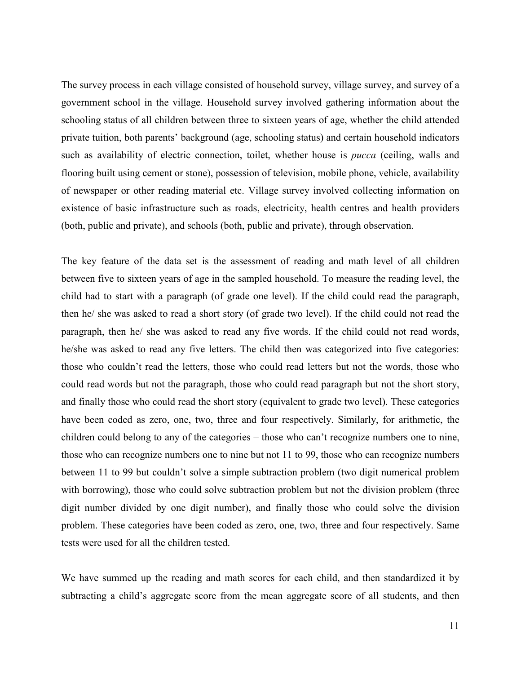The survey process in each village consisted of household survey, village survey, and survey of a government school in the village. Household survey involved gathering information about the schooling status of all children between three to sixteen years of age, whether the child attended private tuition, both parents' background (age, schooling status) and certain household indicators such as availability of electric connection, toilet, whether house is *pucca* (ceiling, walls and flooring built using cement or stone), possession of television, mobile phone, vehicle, availability of newspaper or other reading material etc. Village survey involved collecting information on existence of basic infrastructure such as roads, electricity, health centres and health providers (both, public and private), and schools (both, public and private), through observation.

The key feature of the data set is the assessment of reading and math level of all children between five to sixteen years of age in the sampled household. To measure the reading level, the child had to start with a paragraph (of grade one level). If the child could read the paragraph, then he/ she was asked to read a short story (of grade two level). If the child could not read the paragraph, then he/ she was asked to read any five words. If the child could not read words, he/she was asked to read any five letters. The child then was categorized into five categories: those who couldn't read the letters, those who could read letters but not the words, those who could read words but not the paragraph, those who could read paragraph but not the short story, and finally those who could read the short story (equivalent to grade two level). These categories have been coded as zero, one, two, three and four respectively. Similarly, for arithmetic, the children could belong to any of the categories – those who can't recognize numbers one to nine, those who can recognize numbers one to nine but not 11 to 99, those who can recognize numbers between 11 to 99 but couldn't solve a simple subtraction problem (two digit numerical problem with borrowing), those who could solve subtraction problem but not the division problem (three digit number divided by one digit number), and finally those who could solve the division problem. These categories have been coded as zero, one, two, three and four respectively. Same tests were used for all the children tested.

We have summed up the reading and math scores for each child, and then standardized it by subtracting a child's aggregate score from the mean aggregate score of all students, and then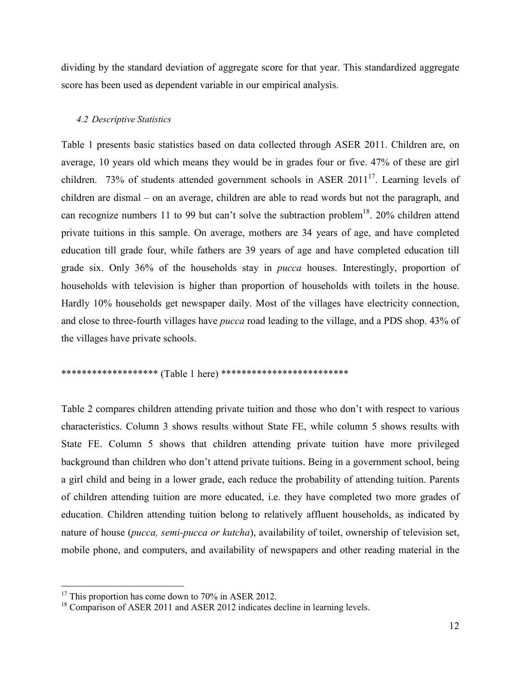dividing by the standard deviation of aggregate score for that year. This standardized aggregate score has been used as dependent variable in our empirical analysis.

#### *4.2 Descriptive Statistics*

Table 1 presents basic statistics based on data collected through ASER 2011. Children are, on average, 10 years old which means they would be in grades four or five. 47% of these are girl children. 73% of students attended government schools in ASER  $2011^{17}$ . Learning levels of children are dismal – on an average, children are able to read words but not the paragraph, and can recognize numbers 11 to 99 but can't solve the subtraction problem<sup>18</sup>. 20% children attend private tuitions in this sample. On average, mothers are 34 years of age, and have completed education till grade four, while fathers are 39 years of age and have completed education till grade six. Only 36% of the households stay in *pucca* houses. Interestingly, proportion of households with television is higher than proportion of households with toilets in the house. Hardly 10% households get newspaper daily. Most of the villages have electricity connection, and close to three-fourth villages have *pucca* road leading to the village, and a PDS shop. 43% of the villages have private schools.

### \*\*\*\*\*\*\*\*\*\*\*\*\*\*\*\*\*\*\* (Table 1 here) \*\*\*\*\*\*\*\*\*\*\*\*\*\*\*\*\*\*\*\*\*\*\*\*\*

Table 2 compares children attending private tuition and those who don't with respect to various characteristics. Column 3 shows results without State FE, while column 5 shows results with State FE. Column 5 shows that children attending private tuition have more privileged background than children who don't attend private tuitions. Being in a government school, being a girl child and being in a lower grade, each reduce the probability of attending tuition. Parents of children attending tuition are more educated, i.e. they have completed two more grades of education. Children attending tuition belong to relatively affluent households, as indicated by nature of house (*pucca, semi-pucca or kutcha*), availability of toilet, ownership of television set, mobile phone, and computers, and availability of newspapers and other reading material in the

 $\overline{a}$ 

 $17$  This proportion has come down to 70% in ASER 2012.

<sup>&</sup>lt;sup>18</sup> Comparison of ASER 2011 and ASER 2012 indicates decline in learning levels.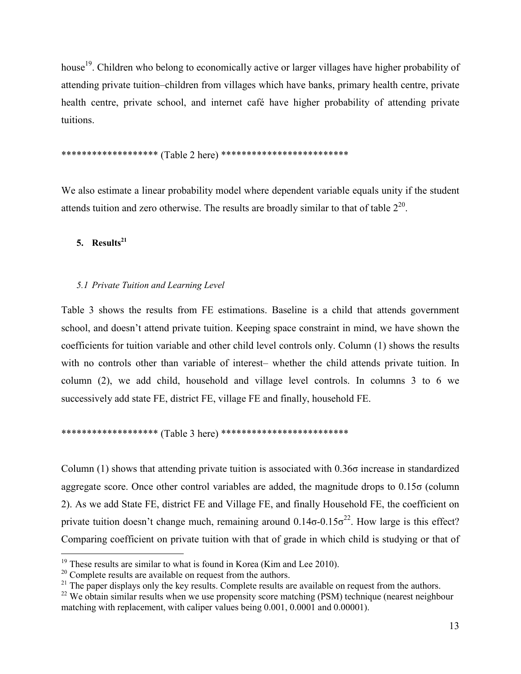house<sup>19</sup>. Children who belong to economically active or larger villages have higher probability of attending private tuition–children from villages which have banks, primary health centre, private health centre, private school, and internet café have higher probability of attending private tuitions.

## \*\*\*\*\*\*\*\*\*\*\*\*\*\*\*\*\*\*\* (Table 2 here) \*\*\*\*\*\*\*\*\*\*\*\*\*\*\*\*\*\*\*\*\*\*\*\*\*

We also estimate a linear probability model where dependent variable equals unity if the student attends tuition and zero otherwise. The results are broadly similar to that of table  $2^{20}$ .

## **5. Results<sup>21</sup>**

 $\overline{a}$ 

## *5.1 Private Tuition and Learning Level*

Table 3 shows the results from FE estimations. Baseline is a child that attends government school, and doesn't attend private tuition. Keeping space constraint in mind, we have shown the coefficients for tuition variable and other child level controls only. Column (1) shows the results with no controls other than variable of interest– whether the child attends private tuition. In column (2), we add child, household and village level controls. In columns 3 to 6 we successively add state FE, district FE, village FE and finally, household FE.

### \*\*\*\*\*\*\*\*\*\*\*\*\*\*\*\*\*\*\* (Table 3 here) \*\*\*\*\*\*\*\*\*\*\*\*\*\*\*\*\*\*\*\*\*\*\*\*\*

Column (1) shows that attending private tuition is associated with  $0.36\sigma$  increase in standardized aggregate score. Once other control variables are added, the magnitude drops to  $0.15\sigma$  (column 2). As we add State FE, district FE and Village FE, and finally Household FE, the coefficient on private tuition doesn't change much, remaining around  $0.14\sigma$ - $0.15\sigma^{22}$ . How large is this effect? Comparing coefficient on private tuition with that of grade in which child is studying or that of

<sup>&</sup>lt;sup>19</sup> These results are similar to what is found in Korea (Kim and Lee 2010).

 $20$  Complete results are available on request from the authors.

 $21$  The paper displays only the key results. Complete results are available on request from the authors.

 $22$  We obtain similar results when we use propensity score matching (PSM) technique (nearest neighbour matching with replacement, with caliper values being 0.001, 0.0001 and 0.00001).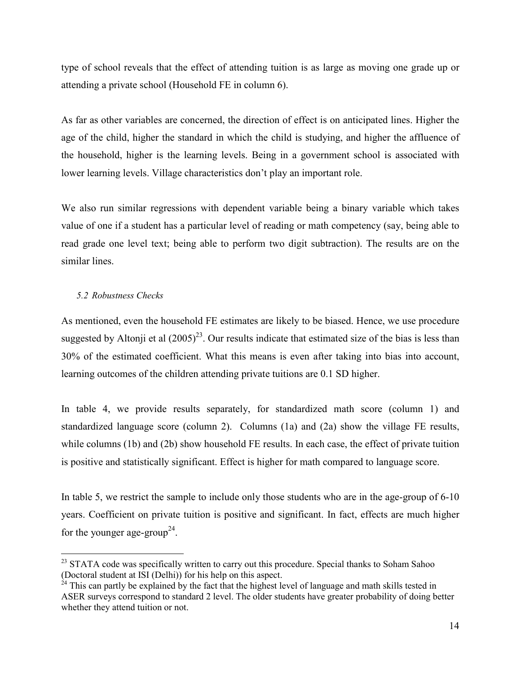type of school reveals that the effect of attending tuition is as large as moving one grade up or attending a private school (Household FE in column 6).

As far as other variables are concerned, the direction of effect is on anticipated lines. Higher the age of the child, higher the standard in which the child is studying, and higher the affluence of the household, higher is the learning levels. Being in a government school is associated with lower learning levels. Village characteristics don't play an important role.

We also run similar regressions with dependent variable being a binary variable which takes value of one if a student has a particular level of reading or math competency (say, being able to read grade one level text; being able to perform two digit subtraction). The results are on the similar lines.

## *5.2 Robustness Checks*

 $\overline{a}$ 

As mentioned, even the household FE estimates are likely to be biased. Hence, we use procedure suggested by Altonii et al  $(2005)^{23}$ . Our results indicate that estimated size of the bias is less than 30% of the estimated coefficient. What this means is even after taking into bias into account, learning outcomes of the children attending private tuitions are 0.1 SD higher.

In table 4, we provide results separately, for standardized math score (column 1) and standardized language score (column 2). Columns (1a) and (2a) show the village FE results, while columns (1b) and (2b) show household FE results. In each case, the effect of private tuition is positive and statistically significant. Effect is higher for math compared to language score.

In table 5, we restrict the sample to include only those students who are in the age-group of 6-10 years. Coefficient on private tuition is positive and significant. In fact, effects are much higher for the younger age-group<sup>24</sup>.

<sup>&</sup>lt;sup>23</sup> STATA code was specifically written to carry out this procedure. Special thanks to Soham Sahoo (Doctoral student at ISI (Delhi)) for his help on this aspect.

 $^{24}$  This can partly be explained by the fact that the highest level of language and math skills tested in ASER surveys correspond to standard 2 level. The older students have greater probability of doing better whether they attend tuition or not.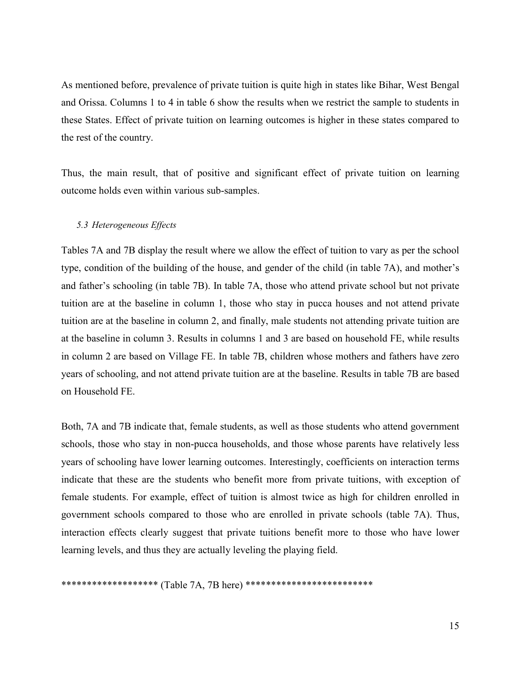As mentioned before, prevalence of private tuition is quite high in states like Bihar, West Bengal and Orissa. Columns 1 to 4 in table 6 show the results when we restrict the sample to students in these States. Effect of private tuition on learning outcomes is higher in these states compared to the rest of the country.

Thus, the main result, that of positive and significant effect of private tuition on learning outcome holds even within various sub-samples.

## *5.3 Heterogeneous Effects*

Tables 7A and 7B display the result where we allow the effect of tuition to vary as per the school type, condition of the building of the house, and gender of the child (in table 7A), and mother's and father's schooling (in table 7B). In table 7A, those who attend private school but not private tuition are at the baseline in column 1, those who stay in pucca houses and not attend private tuition are at the baseline in column 2, and finally, male students not attending private tuition are at the baseline in column 3. Results in columns 1 and 3 are based on household FE, while results in column 2 are based on Village FE. In table 7B, children whose mothers and fathers have zero years of schooling, and not attend private tuition are at the baseline. Results in table 7B are based on Household FE.

Both, 7A and 7B indicate that, female students, as well as those students who attend government schools, those who stay in non-pucca households, and those whose parents have relatively less years of schooling have lower learning outcomes. Interestingly, coefficients on interaction terms indicate that these are the students who benefit more from private tuitions, with exception of female students. For example, effect of tuition is almost twice as high for children enrolled in government schools compared to those who are enrolled in private schools (table 7A). Thus, interaction effects clearly suggest that private tuitions benefit more to those who have lower learning levels, and thus they are actually leveling the playing field.

#### \*\*\*\*\*\*\*\*\*\*\*\*\*\*\*\*\*\*\* (Table 7A, 7B here) \*\*\*\*\*\*\*\*\*\*\*\*\*\*\*\*\*\*\*\*\*\*\*\*\*\*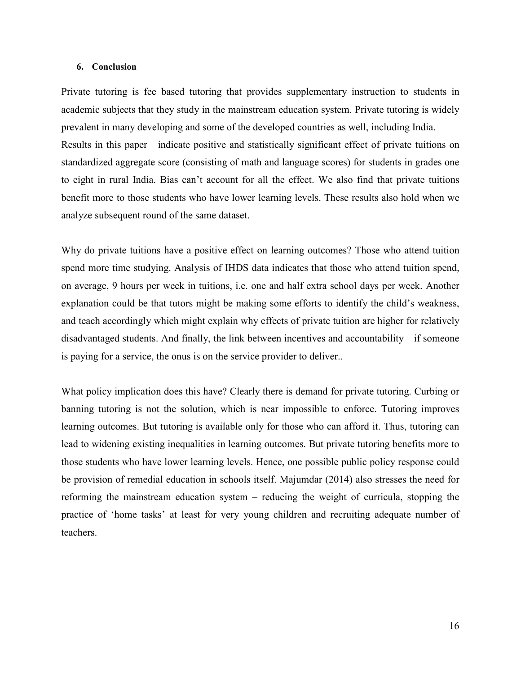#### **6. Conclusion**

Private tutoring is fee based tutoring that provides supplementary instruction to students in academic subjects that they study in the mainstream education system. Private tutoring is widely prevalent in many developing and some of the developed countries as well, including India. Results in this paper indicate positive and statistically significant effect of private tuitions on standardized aggregate score (consisting of math and language scores) for students in grades one to eight in rural India. Bias can't account for all the effect. We also find that private tuitions benefit more to those students who have lower learning levels. These results also hold when we analyze subsequent round of the same dataset.

Why do private tuitions have a positive effect on learning outcomes? Those who attend tuition spend more time studying. Analysis of IHDS data indicates that those who attend tuition spend, on average, 9 hours per week in tuitions, i.e. one and half extra school days per week. Another explanation could be that tutors might be making some efforts to identify the child's weakness, and teach accordingly which might explain why effects of private tuition are higher for relatively disadvantaged students. And finally, the link between incentives and accountability – if someone is paying for a service, the onus is on the service provider to deliver..

What policy implication does this have? Clearly there is demand for private tutoring. Curbing or banning tutoring is not the solution, which is near impossible to enforce. Tutoring improves learning outcomes. But tutoring is available only for those who can afford it. Thus, tutoring can lead to widening existing inequalities in learning outcomes. But private tutoring benefits more to those students who have lower learning levels. Hence, one possible public policy response could be provision of remedial education in schools itself. Majumdar (2014) also stresses the need for reforming the mainstream education system – reducing the weight of curricula, stopping the practice of 'home tasks' at least for very young children and recruiting adequate number of teachers.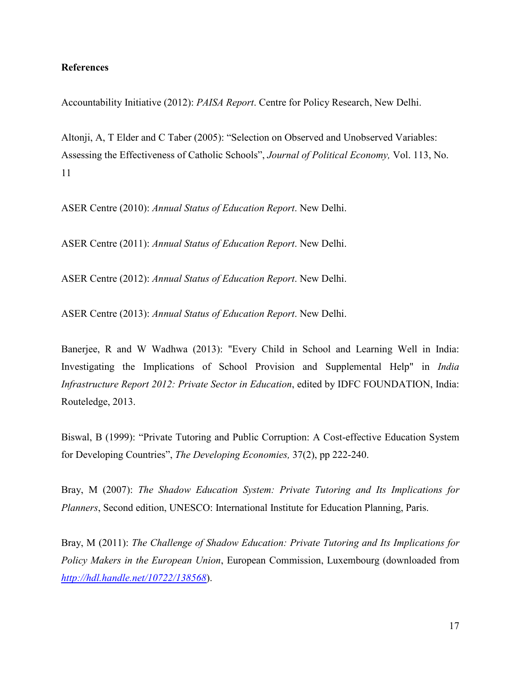## **References**

Accountability Initiative (2012): *PAISA Report*. Centre for Policy Research, New Delhi.

Altonji, A, T Elder and C Taber (2005): "Selection on Observed and Unobserved Variables: Assessing the Effectiveness of Catholic Schools", *Journal of Political Economy,* Vol. 113, No. 11

ASER Centre (2010): *Annual Status of Education Report*. New Delhi.

ASER Centre (2011): *Annual Status of Education Report*. New Delhi.

ASER Centre (2012): *Annual Status of Education Report*. New Delhi.

ASER Centre (2013): *Annual Status of Education Report*. New Delhi.

Banerjee, R and W Wadhwa (2013): "Every Child in School and Learning Well in India: Investigating the Implications of School Provision and Supplemental Help" in *India Infrastructure Report 2012: Private Sector in Education*, edited by IDFC FOUNDATION, India: Routeledge, 2013.

Biswal, B (1999): "Private Tutoring and Public Corruption: A Cost-effective Education System for Developing Countries", *The Developing Economies,* 37(2), pp 222-240.

Bray, M (2007): *The Shadow Education System: Private Tutoring and Its Implications for Planners*, Second edition, UNESCO: International Institute for Education Planning, Paris.

Bray, M (2011): *The Challenge of Shadow Education: Private Tutoring and Its Implications for Policy Makers in the European Union*, European Commission, Luxembourg (downloaded from *http://hdl.handle.net/10722/138568*).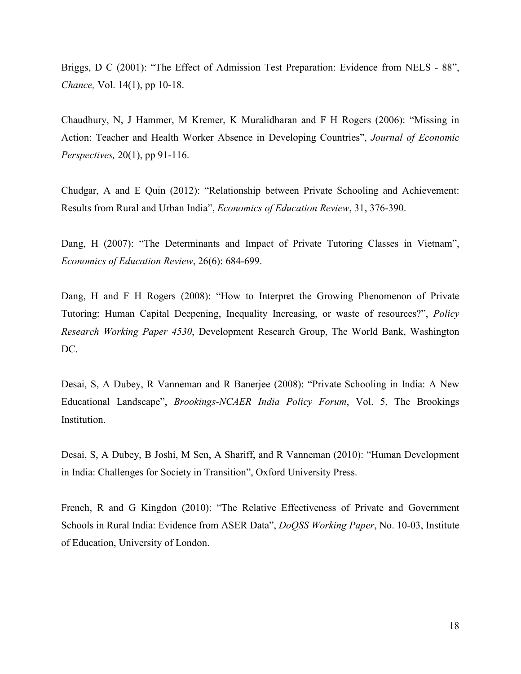Briggs, D C (2001): "The Effect of Admission Test Preparation: Evidence from NELS - 88", *Chance,* Vol. 14(1), pp 10-18.

Chaudhury, N, J Hammer, M Kremer, K Muralidharan and F H Rogers (2006): "Missing in Action: Teacher and Health Worker Absence in Developing Countries", *Journal of Economic Perspectives,* 20(1), pp 91-116.

Chudgar, A and E Quin (2012): "Relationship between Private Schooling and Achievement: Results from Rural and Urban India", *Economics of Education Review*, 31, 376-390.

Dang, H (2007): "The Determinants and Impact of Private Tutoring Classes in Vietnam", *Economics of Education Review*, 26(6): 684-699.

Dang, H and F H Rogers (2008): "How to Interpret the Growing Phenomenon of Private Tutoring: Human Capital Deepening, Inequality Increasing, or waste of resources?", *Policy Research Working Paper 4530*, Development Research Group, The World Bank, Washington DC.

Desai, S, A Dubey, R Vanneman and R Banerjee (2008): "Private Schooling in India: A New Educational Landscape", *Brookings-NCAER India Policy Forum*, Vol. 5, The Brookings Institution.

Desai, S, A Dubey, B Joshi, M Sen, A Shariff, and R Vanneman (2010): "Human Development in India: Challenges for Society in Transition", Oxford University Press.

French, R and G Kingdon (2010): "The Relative Effectiveness of Private and Government Schools in Rural India: Evidence from ASER Data", *DoQSS Working Paper*, No. 10-03, Institute of Education, University of London.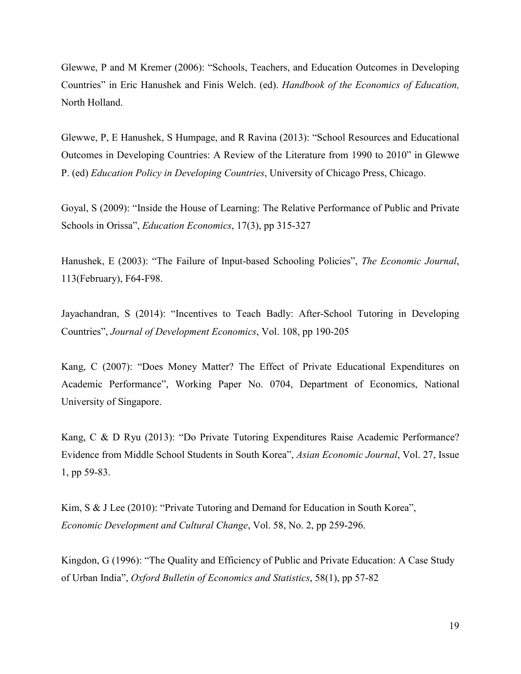Glewwe, P and M Kremer (2006): "Schools, Teachers, and Education Outcomes in Developing Countries" in Eric Hanushek and Finis Welch. (ed). *Handbook of the Economics of Education,*  North Holland.

Glewwe, P, E Hanushek, S Humpage, and R Ravina (2013): "School Resources and Educational Outcomes in Developing Countries: A Review of the Literature from 1990 to 2010" in Glewwe P. (ed) *Education Policy in Developing Countries*, University of Chicago Press, Chicago.

Goyal, S (2009): "Inside the House of Learning: The Relative Performance of Public and Private Schools in Orissa", *Education Economics*, 17(3), pp 315-327

Hanushek, E (2003): "The Failure of Input-based Schooling Policies", *The Economic Journal*, 113(February), F64-F98.

Jayachandran, S (2014): "Incentives to Teach Badly: After-School Tutoring in Developing Countries", *Journal of Development Economics*, Vol. 108, pp 190-205

Kang, C (2007): "Does Money Matter? The Effect of Private Educational Expenditures on Academic Performance", Working Paper No. 0704, Department of Economics, National University of Singapore.

Kang, C & D Ryu (2013): "Do Private Tutoring Expenditures Raise Academic Performance? Evidence from Middle School Students in South Korea", *Asian Economic Journal*, Vol. 27, Issue 1, pp 59-83.

Kim, S & J Lee (2010): "Private Tutoring and Demand for Education in South Korea", *Economic Development and Cultural Change*, Vol. 58, No. 2, pp 259-296.

Kingdon, G (1996): "The Quality and Efficiency of Public and Private Education: A Case Study of Urban India", *Oxford Bulletin of Economics and Statistics*, 58(1), pp 57-82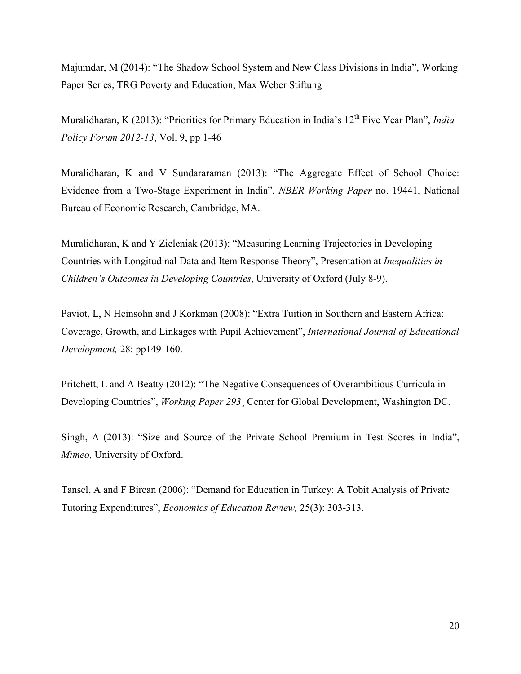Majumdar, M (2014): "The Shadow School System and New Class Divisions in India", Working Paper Series, TRG Poverty and Education, Max Weber Stiftung

Muralidharan, K (2013): "Priorities for Primary Education in India's 12<sup>th</sup> Five Year Plan", *India Policy Forum 2012-13*, Vol. 9, pp 1-46

Muralidharan, K and V Sundararaman (2013): "The Aggregate Effect of School Choice: Evidence from a Two-Stage Experiment in India", *NBER Working Paper* no. 19441, National Bureau of Economic Research, Cambridge, MA.

Muralidharan, K and Y Zieleniak (2013): "Measuring Learning Trajectories in Developing Countries with Longitudinal Data and Item Response Theory", Presentation at *Inequalities in Children's Outcomes in Developing Countries*, University of Oxford (July 8-9).

Paviot, L, N Heinsohn and J Korkman (2008): "Extra Tuition in Southern and Eastern Africa: Coverage, Growth, and Linkages with Pupil Achievement", *International Journal of Educational Development,* 28: pp149-160.

Pritchett, L and A Beatty (2012): "The Negative Consequences of Overambitious Curricula in Developing Countries", *Working Paper 293*¸ Center for Global Development, Washington DC.

Singh, A (2013): "Size and Source of the Private School Premium in Test Scores in India", *Mimeo,* University of Oxford.

Tansel, A and F Bircan (2006): "Demand for Education in Turkey: A Tobit Analysis of Private Tutoring Expenditures", *Economics of Education Review,* 25(3): 303-313.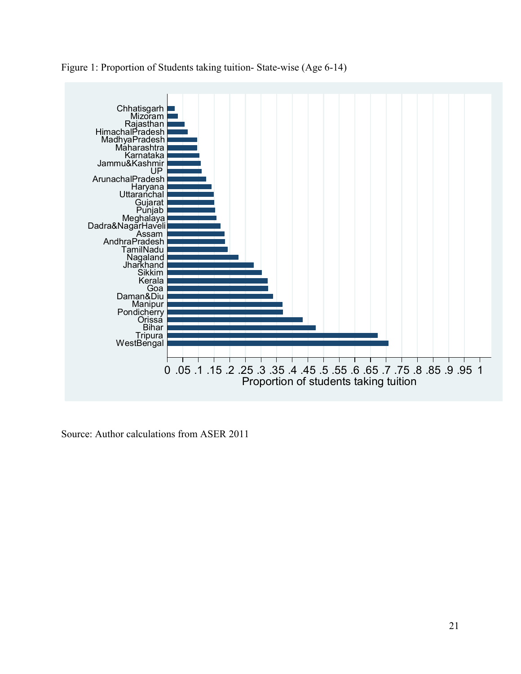



Source: Author calculations from ASER 2011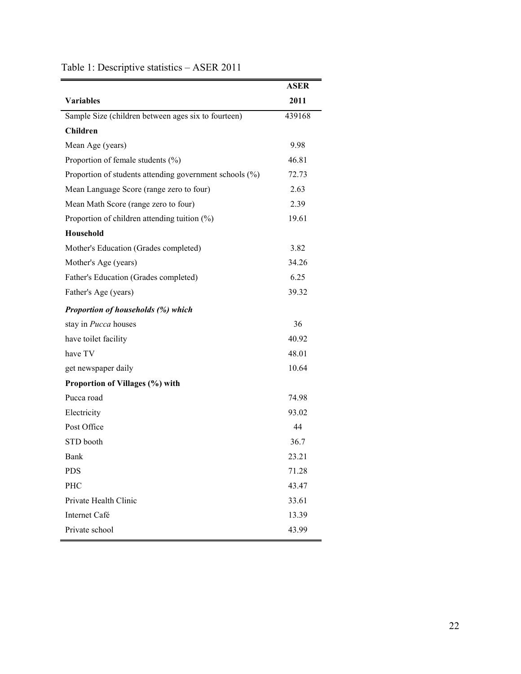|                                                         | <b>ASER</b> |
|---------------------------------------------------------|-------------|
| <b>Variables</b>                                        | 2011        |
| Sample Size (children between ages six to fourteen)     | 439168      |
| <b>Children</b>                                         |             |
| Mean Age (years)                                        | 9.98        |
| Proportion of female students (%)                       | 46.81       |
| Proportion of students attending government schools (%) | 72.73       |
| Mean Language Score (range zero to four)                | 2.63        |
| Mean Math Score (range zero to four)                    | 2.39        |
| Proportion of children attending tuition $(\%)$         | 19.61       |
| Household                                               |             |
| Mother's Education (Grades completed)                   | 3.82        |
| Mother's Age (years)                                    | 34.26       |
| Father's Education (Grades completed)                   | 6.25        |
| Father's Age (years)                                    | 39.32       |
| Proportion of households (%) which                      |             |
| stay in Pucca houses                                    | 36          |
| have toilet facility                                    | 40.92       |
| have TV                                                 | 48.01       |
| get newspaper daily                                     | 10.64       |
| Proportion of Villages (%) with                         |             |
| Pucca road                                              | 74.98       |
| Electricity                                             | 93.02       |
| Post Office                                             | 44          |
| STD booth                                               | 36.7        |
| Bank                                                    | 23.21       |
| <b>PDS</b>                                              | 71.28       |
| PHC                                                     | 43.47       |
| Private Health Clinic                                   | 33.61       |
| Internet Café                                           | 13.39       |
| Private school                                          | 43.99       |

# Table 1: Descriptive statistics – ASER 2011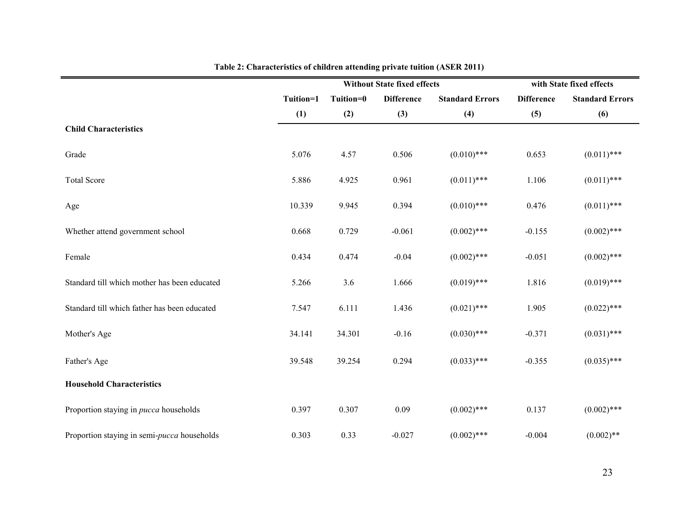|                                              |           | <b>Without State fixed effects</b> | with State fixed effects |                        |                   |                        |
|----------------------------------------------|-----------|------------------------------------|--------------------------|------------------------|-------------------|------------------------|
|                                              | Tuition=1 | Tuition=0                          | <b>Difference</b>        | <b>Standard Errors</b> | <b>Difference</b> | <b>Standard Errors</b> |
|                                              | (1)       | (2)                                | (3)                      | (4)                    | (5)               | (6)                    |
| <b>Child Characteristics</b>                 |           |                                    |                          |                        |                   |                        |
| Grade                                        | 5.076     | 4.57                               | 0.506                    | $(0.010)$ ***          | 0.653             | $(0.011)$ ***          |
| <b>Total Score</b>                           | 5.886     | 4.925                              | 0.961                    | $(0.011)$ ***          | 1.106             | $(0.011)$ ***          |
| Age                                          | 10.339    | 9.945                              | 0.394                    | $(0.010)$ ***          | 0.476             | $(0.011)$ ***          |
| Whether attend government school             | 0.668     | 0.729                              | $-0.061$                 | $(0.002)$ ***          | $-0.155$          | $(0.002)$ ***          |
| Female                                       | 0.434     | 0.474                              | $-0.04$                  | $(0.002)$ ***          | $-0.051$          | $(0.002)$ ***          |
| Standard till which mother has been educated | 5.266     | 3.6                                | 1.666                    | $(0.019)$ ***          | 1.816             | $(0.019)$ ***          |
| Standard till which father has been educated | 7.547     | 6.111                              | 1.436                    | $(0.021)$ ***          | 1.905             | $(0.022)$ ***          |
| Mother's Age                                 | 34.141    | 34.301                             | $-0.16$                  | $(0.030)$ ***          | $-0.371$          | $(0.031)$ ***          |
| Father's Age                                 | 39.548    | 39.254                             | 0.294                    | $(0.033)$ ***          | $-0.355$          | $(0.035)$ ***          |
| <b>Household Characteristics</b>             |           |                                    |                          |                        |                   |                        |
| Proportion staying in pucca households       | 0.397     | 0.307                              | 0.09                     | $(0.002)$ ***          | 0.137             | $(0.002)$ ***          |
| Proportion staying in semi-pucca households  | 0.303     | 0.33                               | $-0.027$                 | $(0.002)$ ***          | $-0.004$          | $(0.002)$ **           |

## **Table 2: Characteristics of children attending private tuition (ASER 2011)**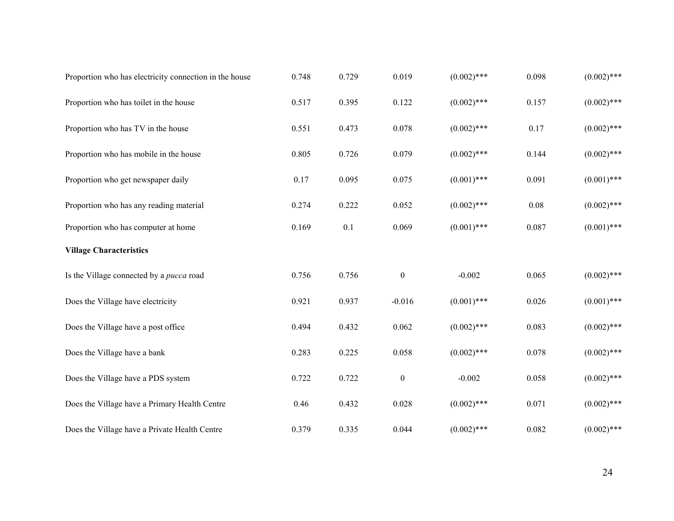| Proportion who has electricity connection in the house | 0.748 | 0.729 | 0.019            | $(0.002)$ *** | 0.098 | $(0.002)$ *** |
|--------------------------------------------------------|-------|-------|------------------|---------------|-------|---------------|
| Proportion who has toilet in the house                 | 0.517 | 0.395 | 0.122            | $(0.002)$ *** | 0.157 | $(0.002)$ *** |
| Proportion who has TV in the house                     | 0.551 | 0.473 | 0.078            | $(0.002)$ *** | 0.17  | $(0.002)$ *** |
| Proportion who has mobile in the house                 | 0.805 | 0.726 | 0.079            | $(0.002)$ *** | 0.144 | $(0.002)$ *** |
| Proportion who get newspaper daily                     | 0.17  | 0.095 | 0.075            | $(0.001)$ *** | 0.091 | $(0.001)$ *** |
| Proportion who has any reading material                | 0.274 | 0.222 | 0.052            | $(0.002)$ *** | 0.08  | $(0.002)$ *** |
| Proportion who has computer at home                    | 0.169 | 0.1   | 0.069            | $(0.001)$ *** | 0.087 | $(0.001)$ *** |
| <b>Village Characteristics</b>                         |       |       |                  |               |       |               |
| Is the Village connected by a pucca road               | 0.756 | 0.756 | $\boldsymbol{0}$ | $-0.002$      | 0.065 | $(0.002)$ *** |
| Does the Village have electricity                      | 0.921 | 0.937 | $-0.016$         | $(0.001)$ *** | 0.026 | $(0.001)$ *** |
| Does the Village have a post office                    | 0.494 | 0.432 | 0.062            | $(0.002)$ *** | 0.083 | $(0.002)$ *** |
| Does the Village have a bank                           | 0.283 | 0.225 | 0.058            | $(0.002)$ *** | 0.078 | $(0.002)$ *** |
| Does the Village have a PDS system                     | 0.722 | 0.722 | $\boldsymbol{0}$ | $-0.002$      | 0.058 | $(0.002)$ *** |
| Does the Village have a Primary Health Centre          | 0.46  | 0.432 | 0.028            | $(0.002)$ *** | 0.071 | $(0.002)$ *** |
| Does the Village have a Private Health Centre          | 0.379 | 0.335 | 0.044            | $(0.002)$ *** | 0.082 | $(0.002)$ *** |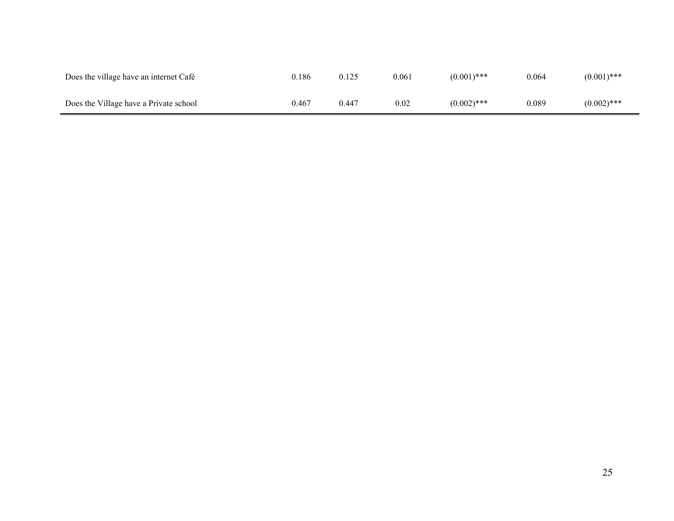| Does the village have an internet Café | 0.186 | 0.125 | 0.061 | $(0.001)$ *** | 0.064 | $(0.001)$ *** |
|----------------------------------------|-------|-------|-------|---------------|-------|---------------|
| Does the Village have a Private school | 0.467 | 0.447 | 0.02  | $(0.002)$ *** | 0.089 | $(0.002)$ *** |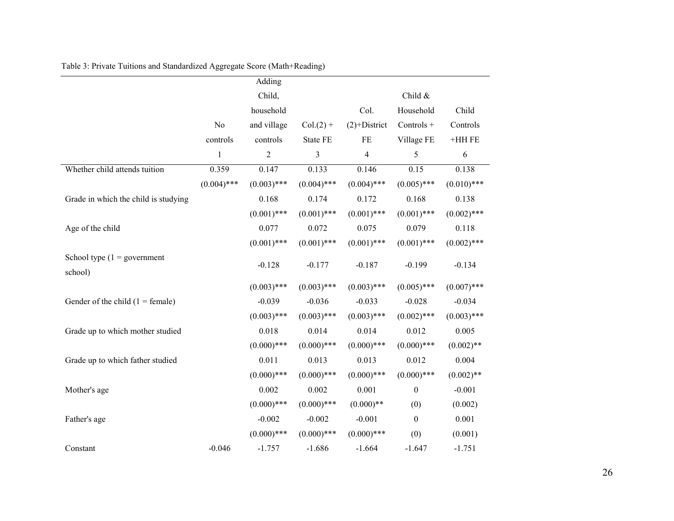|                                          |               | Adding        |               |                 |                  |                |
|------------------------------------------|---------------|---------------|---------------|-----------------|------------------|----------------|
|                                          |               | Child,        |               |                 | Child &          |                |
|                                          |               | household     |               | Col.            | Household        | Child          |
|                                          | No            | and village   | $Col.(2) +$   | $(2)$ +District | Controls +       | Controls       |
|                                          | controls      | controls      | State FE      | FE              | Village FE       | $+{\rm HH}$ FE |
|                                          | $\mathbf{1}$  | 2             | 3             | 4               | 5                | 6              |
| Whether child attends tuition            | 0.359         | 0.147         | 0.133         | 0.146           | 0.15             | 0.138          |
|                                          | $(0.004)$ *** | $(0.003)$ *** | $(0.004)$ *** | $(0.004)$ ***   | $(0.005)$ ***    | $(0.010)$ ***  |
| Grade in which the child is studying     |               | 0.168         | 0.174         | 0.172           | 0.168            | 0.138          |
|                                          |               | $(0.001)$ *** | $(0.001)$ *** | $(0.001)$ ***   | $(0.001)$ ***    | $(0.002)$ ***  |
| Age of the child                         |               | 0.077         | 0.072         | 0.075           | 0.079            | 0.118          |
|                                          |               | $(0.001)$ *** | $(0.001)$ *** | $(0.001)$ ***   | $(0.001)$ ***    | $(0.002)$ ***  |
| School type $(1 =$ government<br>school) |               | $-0.128$      | $-0.177$      | $-0.187$        | $-0.199$         | $-0.134$       |
|                                          |               | $(0.003)$ *** | $(0.003)$ *** | $(0.003)$ ***   | $(0.005)$ ***    | $(0.007)$ ***  |
| Gender of the child $(1 =$ female)       |               | $-0.039$      | $-0.036$      | $-0.033$        | $-0.028$         | $-0.034$       |
|                                          |               | $(0.003)$ *** | $(0.003)$ *** | $(0.003)$ ***   | $(0.002)$ ***    | $(0.003)$ ***  |
| Grade up to which mother studied         |               | 0.018         | 0.014         | 0.014           | 0.012            | 0.005          |
|                                          |               | $(0.000)$ *** | $(0.000)$ *** | $(0.000)$ ***   | $(0.000)$ ***    | $(0.002)$ **   |
| Grade up to which father studied         |               | 0.011         | 0.013         | 0.013           | 0.012            | 0.004          |
|                                          |               | $(0.000)$ *** | $(0.000)$ *** | $(0.000)$ ***   | $(0.000)$ ***    | $(0.002)$ **   |
| Mother's age                             |               | 0.002         | 0.002         | 0.001           | $\boldsymbol{0}$ | $-0.001$       |
|                                          |               | $(0.000)$ *** | $(0.000)$ *** | $(0.000)$ **    | (0)              | (0.002)        |
| Father's age                             |               | $-0.002$      | $-0.002$      | $-0.001$        | $\boldsymbol{0}$ | 0.001          |
|                                          |               | $(0.000)$ *** | $(0.000)$ *** | $(0.000)$ ***   | (0)              | (0.001)        |
| Constant                                 | $-0.046$      | $-1.757$      | $-1.686$      | $-1.664$        | $-1.647$         | $-1.751$       |

#### Table 3: Private Tuitions and Standardized Aggregate Score (Math+Reading)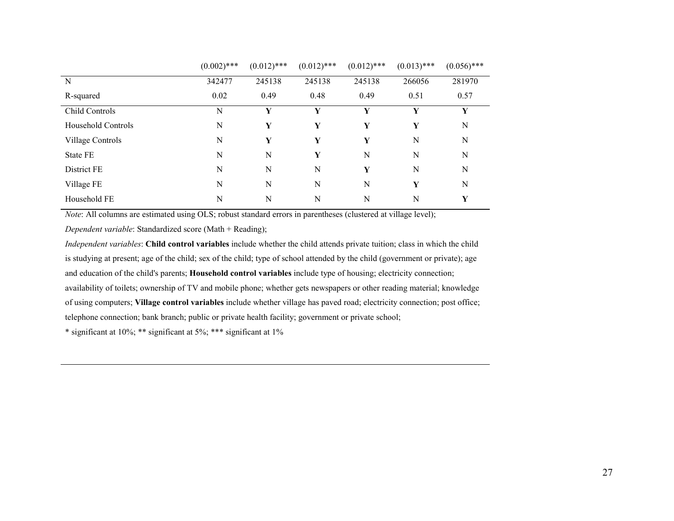| $(0.002)$ *** | $(0.012)$ *** | $(0.012)$ *** | $(0.012)$ *** | $(0.013)$ *** | $(0.056)$ *** |
|---------------|---------------|---------------|---------------|---------------|---------------|
| 342477        | 245138        | 245138        | 245138        | 266056        | 281970        |
| 0.02          | 0.49          | 0.48          | 0.49          | 0.51          | 0.57          |
| N             | Y             | Y             | Y             | Y             | Y             |
| N             | Y             | Y             | Y             | Y             | N             |
| N             | Y             | Y             | Y             | N             | N             |
| N             | N             | Y             | N             | N             | N             |
| N             | N             | N             | Y             | N             | N             |
| N             | N             | N             | N             | Y             | N             |
| N             | N             | N             | N             | N             | Y             |
|               |               |               |               |               |               |

*Note*: All columns are estimated using OLS; robust standard errors in parentheses (clustered at village level);

*Dependent variable*: Standardized score (Math + Reading);

*Independent variables*: **Child control variables** include whether the child attends private tuition; class in which the child is studying at present; age of the child; sex of the child; type of school attended by the child (government or private); age and education of the child's parents; **Household control variables** include type of housing; electricity connection;

availability of toilets; ownership of TV and mobile phone; whether gets newspapers or other reading material; knowledge of using computers; **Village control variables** include whether village has paved road; electricity connection; post office; telephone connection; bank branch; public or private health facility; government or private school;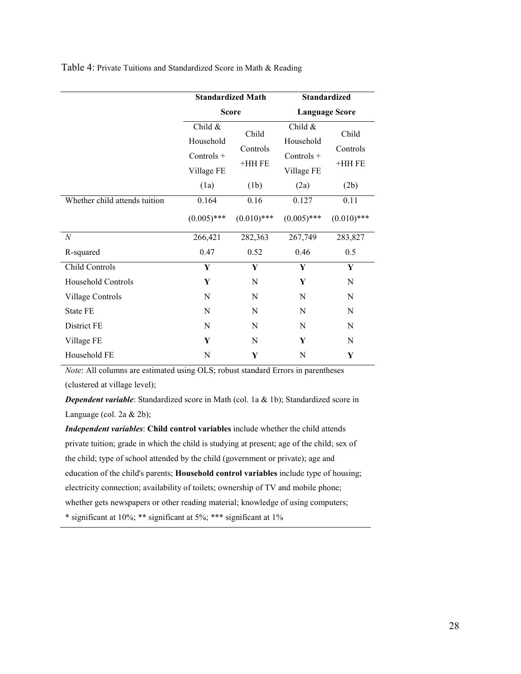|                               |                                                  | <b>Standardized Math</b>    | <b>Standardized</b>                              |                             |  |
|-------------------------------|--------------------------------------------------|-----------------------------|--------------------------------------------------|-----------------------------|--|
|                               |                                                  | <b>Score</b>                | <b>Language Score</b>                            |                             |  |
|                               | Child &<br>Household<br>Controls +<br>Village FE | Child<br>Controls<br>+HH FE | Child &<br>Household<br>Controls +<br>Village FE | Child<br>Controls<br>+HH FE |  |
|                               | (1a)                                             | (1b)                        | (2a)                                             | (2b)                        |  |
| Whether child attends tuition | 0.164                                            | 0.16                        | 0.127                                            | 0.11                        |  |
|                               | $(0.005)$ ***                                    | $(0.010)$ ***               | $(0.005)$ ***                                    | $(0.010)$ ***               |  |
| $\overline{N}$                | 266,421                                          | 282,363                     | 267,749                                          | 283,827                     |  |
| R-squared                     | 0.47                                             | 0.52                        | 0.46                                             | 0.5                         |  |
| Child Controls                | $\mathbf Y$                                      | Y                           | Y                                                | Y                           |  |
| Household Controls            | Y                                                | N                           | $\mathbf Y$                                      | N                           |  |
| Village Controls              | N                                                | N                           | N                                                | N                           |  |
| <b>State FE</b>               | N                                                | N                           | N                                                | N                           |  |
| District FE                   | N                                                | N                           | N                                                | N                           |  |
| Village FE                    | Y                                                | N                           | Y                                                | N                           |  |
| Household FE                  | N                                                | Y                           | N                                                | Y                           |  |

Table 4: Private Tuitions and Standardized Score in Math & Reading

*Note*: All columns are estimated using OLS; robust standard Errors in parentheses

(clustered at village level);

**Dependent variable**: Standardized score in Math (col. 1a & 1b); Standardized score in Language (col. 2a  $& 2b$ );

*Independent variables*: **Child control variables** include whether the child attends private tuition; grade in which the child is studying at present; age of the child; sex of the child; type of school attended by the child (government or private); age and education of the child's parents; **Household control variables** include type of housing; electricity connection; availability of toilets; ownership of TV and mobile phone; whether gets newspapers or other reading material; knowledge of using computers;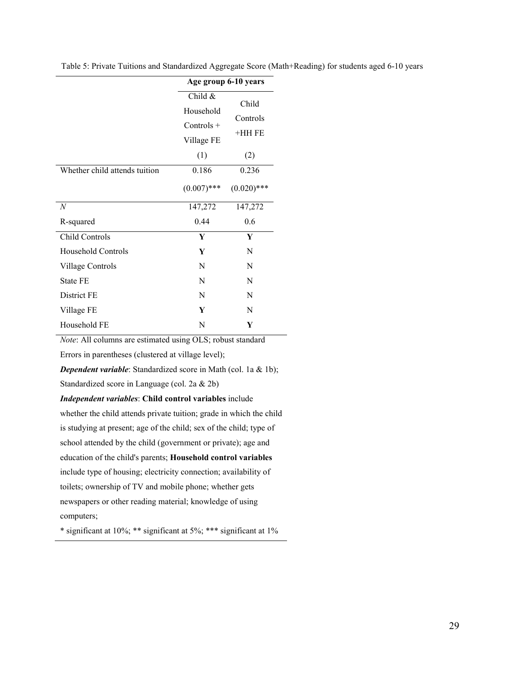|                               | Age group 6-10 years |               |  |
|-------------------------------|----------------------|---------------|--|
|                               | Child &              | Child         |  |
|                               | Household            | Controls      |  |
|                               | $Controls +$         | +HH FE        |  |
|                               | Village FE           |               |  |
|                               | (1)                  | (2)           |  |
| Whether child attends tuition | 0.186                | 0.236         |  |
|                               | $(0.007)$ ***        | $(0.020)$ *** |  |
| N                             | 147,272              | 147,272       |  |
| R-squared                     | 0.44                 | 0.6           |  |
| Child Controls                | Y                    | Y             |  |
| Household Controls            | Y                    | N             |  |
| Village Controls              | N                    | N             |  |
| <b>State FE</b>               | N                    | N             |  |
| District FE                   | N                    | N             |  |
| Village FE                    | Y                    | N             |  |
| Household FE                  | N                    | Y             |  |

Table 5: Private Tuitions and Standardized Aggregate Score (Math+Reading) for students aged 6-10 years

*Note*: All columns are estimated using OLS; robust standard Errors in parentheses (clustered at village level); *Dependent variable*: Standardized score in Math (col. 1a & 1b); Standardized score in Language (col. 2a & 2b) *Independent variables*: **Child control variables** include whether the child attends private tuition; grade in which the child is studying at present; age of the child; sex of the child; type of school attended by the child (government or private); age and education of the child's parents; **Household control variables** include type of housing; electricity connection; availability of toilets; ownership of TV and mobile phone; whether gets newspapers or other reading material; knowledge of using computers;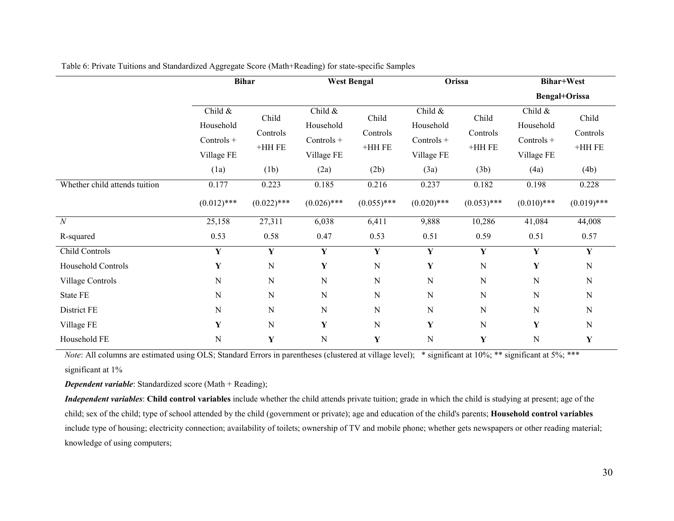|                               | <b>Bihar</b>                                        |                                     | <b>West Bengal</b>                                 |                                     |                                                    | Orissa                              | Bihar+West                                       |                                     |
|-------------------------------|-----------------------------------------------------|-------------------------------------|----------------------------------------------------|-------------------------------------|----------------------------------------------------|-------------------------------------|--------------------------------------------------|-------------------------------------|
|                               |                                                     |                                     |                                                    |                                     |                                                    |                                     | <b>Bengal+Orissa</b>                             |                                     |
|                               | Child $\&$<br>Household<br>Controls +<br>Village FE | Child<br>Controls<br>$+{\rm HH}$ FE | Child &<br>Household<br>$Controls +$<br>Village FE | Child<br>Controls<br>$+{\rm HH}$ FE | Child &<br>Household<br>$Controls +$<br>Village FE | Child<br>Controls<br>$+{\rm HH}$ FE | Child &<br>Household<br>Controls +<br>Village FE | Child<br>Controls<br>$+{\rm HH}$ FE |
|                               | (1a)                                                | (1b)                                | (2a)                                               | (2b)                                | (3a)                                               | (3b)                                | (4a)                                             | (4b)                                |
| Whether child attends tuition | 0.177                                               | 0.223                               | 0.185                                              | 0.216                               | 0.237                                              | 0.182                               | 0.198                                            | 0.228                               |
|                               | $(0.012)$ ***                                       | $(0.022)$ ***                       | $(0.026)$ ***                                      | $(0.055)$ ***                       | $(0.020)$ ***                                      | $(0.053)$ ***                       | $(0.010)$ ***                                    | $(0.019)$ ***                       |
| $\overline{N}$                | 25,158                                              | 27,311                              | 6,038                                              | 6,411                               | 9,888                                              | 10,286                              | 41,084                                           | 44,008                              |
| R-squared                     | 0.53                                                | 0.58                                | 0.47                                               | 0.53                                | 0.51                                               | 0.59                                | 0.51                                             | 0.57                                |
| Child Controls                | Y                                                   | Y                                   | Y                                                  | Y                                   | Y                                                  | Y                                   | Y                                                | $\mathbf Y$                         |
| Household Controls            | Y                                                   | $\mathbf N$                         | Y                                                  | $\mathbf N$                         | $\mathbf Y$                                        | ${\bf N}$                           | $\mathbf Y$                                      | $\mathbf N$                         |
| Village Controls              | N                                                   | ${\bf N}$                           | ${\bf N}$                                          | $\mathbf N$                         | ${\bf N}$                                          | ${\bf N}$                           | ${\bf N}$                                        | ${\bf N}$                           |
| State FE                      | $\mathbf N$                                         | N                                   | ${\bf N}$                                          | ${\bf N}$                           | ${\bf N}$                                          | ${\bf N}$                           | ${\bf N}$                                        | $\mathbf N$                         |
| District FE                   | $\mathbf N$                                         | $\mathbf N$                         | ${\bf N}$                                          | ${\bf N}$                           | ${\bf N}$                                          | ${\bf N}$                           | ${\bf N}$                                        | ${\bf N}$                           |
| Village FE                    | $\mathbf Y$                                         | $\mathbf N$                         | Y                                                  | $\mathbf N$                         | $\mathbf Y$                                        | ${\bf N}$                           | $\mathbf Y$                                      | $\mathbf N$                         |
| Household FE                  | $\mathbf N$                                         | $\mathbf Y$                         | N                                                  | Y                                   | ${\bf N}$                                          | Y                                   | ${\bf N}$                                        | $\mathbf Y$                         |

Table 6: Private Tuitions and Standardized Aggregate Score (Math+Reading) for state-specific Samples

*Note*: All columns are estimated using OLS; Standard Errors in parentheses (clustered at village level); \* significant at 10%; \*\* significant at 5%; \*\*\* significant at 1%

*Dependent variable*: Standardized score (Math + Reading);

*Independent variables*: **Child control variables** include whether the child attends private tuition; grade in which the child is studying at present; age of the child; sex of the child; type of school attended by the child (government or private); age and education of the child's parents; **Household control variables**include type of housing; electricity connection; availability of toilets; ownership of TV and mobile phone; whether gets newspapers or other reading material; knowledge of using computers;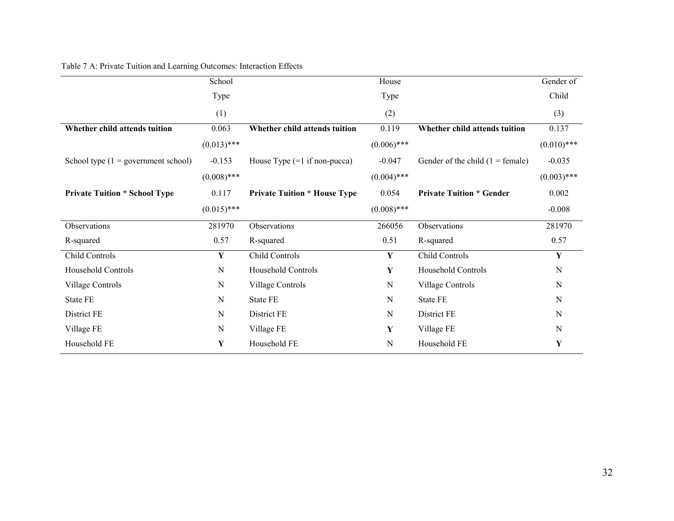#### Table 7 A: Private Tuition and Learning Outcomes: Interaction Effects

|                                       | School        |                                     | House         |                                           | Gender of     |
|---------------------------------------|---------------|-------------------------------------|---------------|-------------------------------------------|---------------|
|                                       | Type          |                                     | Type          |                                           | Child         |
|                                       | (1)           |                                     | (2)           |                                           | (3)           |
| Whether child attends tuition         | 0.063         | Whether child attends tuition       | 0.119         | Whether child attends tuition             | 0.137         |
|                                       | $(0.013)$ *** |                                     | $(0.006)$ *** |                                           | $(0.010)$ *** |
| School type $(1 =$ government school) | $-0.153$      | House Type $(=1$ if non-pucca)      | $-0.047$      | Gender of the child $(1 = \text{female})$ | $-0.035$      |
|                                       | $(0.008)$ *** |                                     | $(0.004)$ *** |                                           | $(0.003)$ *** |
| <b>Private Tuition * School Type</b>  | 0.117         | <b>Private Tuition * House Type</b> | 0.054         | <b>Private Tuition * Gender</b>           | 0.002         |
|                                       | $(0.015)$ *** |                                     | $(0.008)$ *** |                                           | $-0.008$      |
| Observations                          | 281970        | Observations                        | 266056        | Observations                              | 281970        |
| R-squared                             | 0.57          | R-squared                           | 0.51          | R-squared                                 | 0.57          |
| Child Controls                        | Y             | Child Controls                      | Y             | Child Controls                            | $\mathbf Y$   |
| <b>Household Controls</b>             | N             | Household Controls                  | Y             | Household Controls                        | N             |
| Village Controls                      | N             | Village Controls                    | N             | Village Controls                          | N             |
| State FE                              | N             | <b>State FE</b>                     | N             | <b>State FE</b>                           | N             |
| District FE                           | N             | District FE                         | ${\bf N}$     | District FE                               | N             |
| Village FE                            | N             | Village FE                          | Y             | Village FE                                | N             |
| Household FE                          | $\mathbf Y$   | Household FE                        | N             | Household FE                              | Y             |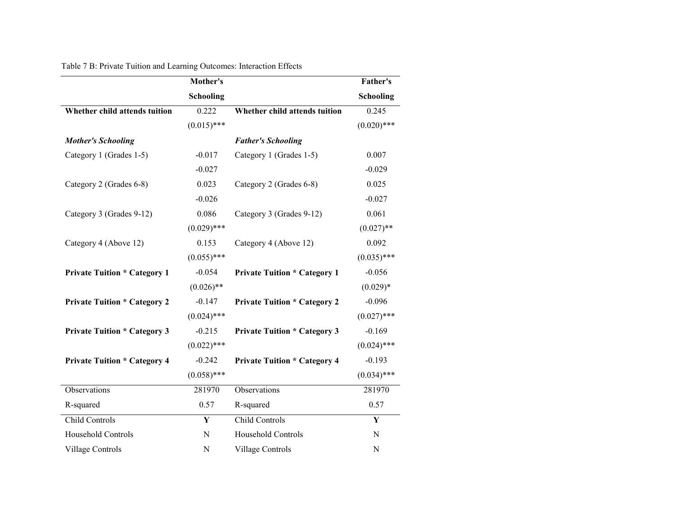|                                     | Mother's         |                                     | Father's         |
|-------------------------------------|------------------|-------------------------------------|------------------|
|                                     | <b>Schooling</b> |                                     | <b>Schooling</b> |
| Whether child attends tuition       | 0.222            | Whether child attends tuition       | 0.245            |
|                                     | $(0.015)$ ***    |                                     | $(0.020)$ ***    |
| <b>Mother's Schooling</b>           |                  | <b>Father's Schooling</b>           |                  |
| Category 1 (Grades 1-5)             | $-0.017$         | Category 1 (Grades 1-5)             | 0.007            |
|                                     | $-0.027$         |                                     | $-0.029$         |
| Category 2 (Grades 6-8)             | 0.023            | Category 2 (Grades 6-8)             | 0.025            |
|                                     | $-0.026$         |                                     | $-0.027$         |
| Category 3 (Grades 9-12)            | 0.086            | Category 3 (Grades 9-12)            | 0.061            |
|                                     | $(0.029)$ ***    |                                     | $(0.027)$ **     |
| Category 4 (Above 12)               | 0.153            | Category 4 (Above 12)               | 0.092            |
|                                     | $(0.055)$ ***    |                                     | $(0.035)$ ***    |
| <b>Private Tuition * Category 1</b> | $-0.054$         | <b>Private Tuition * Category 1</b> | $-0.056$         |
|                                     | $(0.026)$ **     |                                     | $(0.029)*$       |
| <b>Private Tuition * Category 2</b> | $-0.147$         | <b>Private Tuition * Category 2</b> | $-0.096$         |
|                                     | $(0.024)$ ***    |                                     | $(0.027)$ ***    |
| <b>Private Tuition * Category 3</b> | $-0.215$         | <b>Private Tuition * Category 3</b> | $-0.169$         |
|                                     | $(0.022)$ ***    |                                     | $(0.024)$ ***    |
| <b>Private Tuition * Category 4</b> | $-0.242$         | <b>Private Tuition * Category 4</b> | $-0.193$         |
|                                     | $(0.058)$ ***    |                                     | $(0.034)$ ***    |
| Observations                        | 281970           | Observations                        | 281970           |
| R-squared                           | 0.57             | R-squared                           | 0.57             |
| Child Controls                      | Y                | Child Controls                      | $\mathbf Y$      |
| <b>Household Controls</b>           | $\mathbf N$      | Household Controls                  | $\mathbf N$      |
| Village Controls                    | N                | Village Controls                    | N                |

Table 7 B: Private Tuition and Learning Outcomes: Interaction Effects